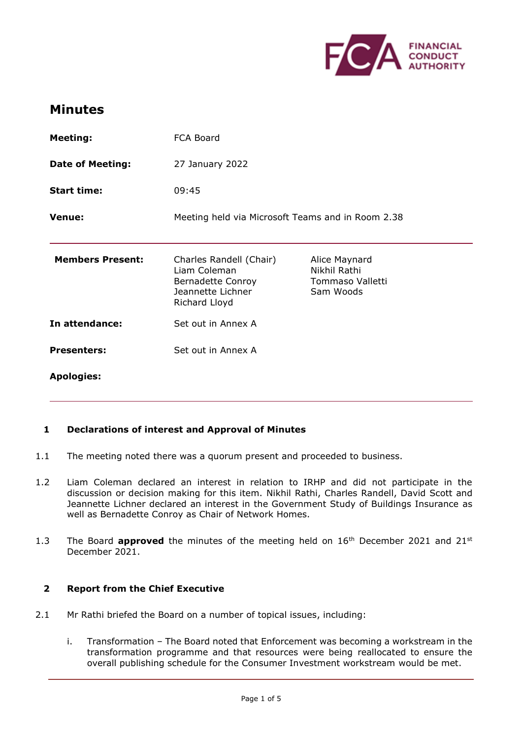

# **Minutes**

| <b>Meeting:</b>         | FCA Board                                                                                          |                                                                |
|-------------------------|----------------------------------------------------------------------------------------------------|----------------------------------------------------------------|
| <b>Date of Meeting:</b> | 27 January 2022                                                                                    |                                                                |
| <b>Start time:</b>      | 09:45                                                                                              |                                                                |
| Venue:                  | Meeting held via Microsoft Teams and in Room 2.38                                                  |                                                                |
| <b>Members Present:</b> | Charles Randell (Chair)<br>Liam Coleman<br>Bernadette Conroy<br>Jeannette Lichner<br>Richard Lloyd | Alice Maynard<br>Nikhil Rathi<br>Tommaso Valletti<br>Sam Woods |
| In attendance:          | Set out in Annex A                                                                                 |                                                                |
| <b>Presenters:</b>      | Set out in Annex A                                                                                 |                                                                |
| <b>Apologies:</b>       |                                                                                                    |                                                                |

# **1 Declarations of interest and Approval of Minutes**

- 1.1 The meeting noted there was a quorum present and proceeded to business.
- 1.2 Liam Coleman declared an interest in relation to IRHP and did not participate in the discussion or decision making for this item. Nikhil Rathi, Charles Randell, David Scott and Jeannette Lichner declared an interest in the Government Study of Buildings Insurance as well as Bernadette Conroy as Chair of Network Homes.
- 1.3 The Board **approved** the minutes of the meeting held on 16<sup>th</sup> December 2021 and 21<sup>st</sup> December 2021.

#### **2 Report from the Chief Executive**

- 2.1 Mr Rathi briefed the Board on a number of topical issues, including:
	- i. Transformation The Board noted that Enforcement was becoming a workstream in the transformation programme and that resources were being reallocated to ensure the overall publishing schedule for the Consumer Investment workstream would be met.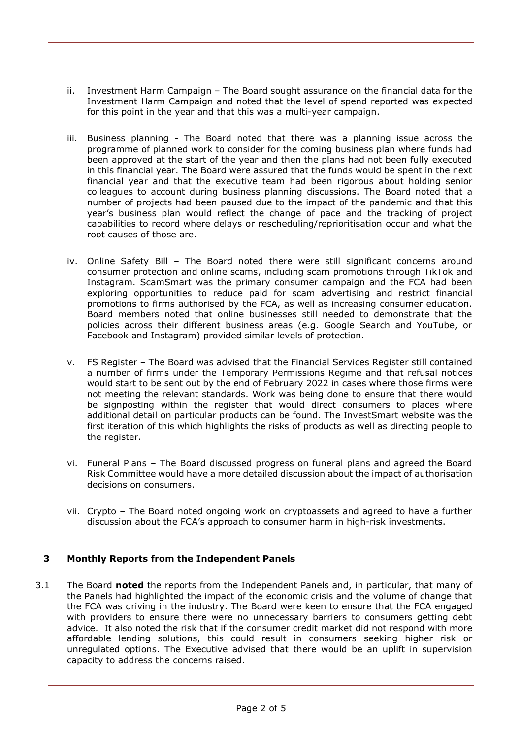- ii. Investment Harm Campaign The Board sought assurance on the financial data for the Investment Harm Campaign and noted that the level of spend reported was expected for this point in the year and that this was a multi-year campaign.
- iii. Business planning The Board noted that there was a planning issue across the programme of planned work to consider for the coming business plan where funds had been approved at the start of the year and then the plans had not been fully executed in this financial year. The Board were assured that the funds would be spent in the next financial year and that the executive team had been rigorous about holding senior colleagues to account during business planning discussions. The Board noted that a number of projects had been paused due to the impact of the pandemic and that this year's business plan would reflect the change of pace and the tracking of project capabilities to record where delays or rescheduling/reprioritisation occur and what the root causes of those are.
- iv. Online Safety Bill The Board noted there were still significant concerns around consumer protection and online scams, including scam promotions through TikTok and Instagram. ScamSmart was the primary consumer campaign and the FCA had been exploring opportunities to reduce paid for scam advertising and restrict financial promotions to firms authorised by the FCA, as well as increasing consumer education. Board members noted that online businesses still needed to demonstrate that the policies across their different business areas (e.g. Google Search and YouTube, or Facebook and Instagram) provided similar levels of protection.
- v. FS Register The Board was advised that the Financial Services Register still contained a number of firms under the Temporary Permissions Regime and that refusal notices would start to be sent out by the end of February 2022 in cases where those firms were not meeting the relevant standards. Work was being done to ensure that there would be signposting within the register that would direct consumers to places where additional detail on particular products can be found. The InvestSmart website was the first iteration of this which highlights the risks of products as well as directing people to the register.
- vi. Funeral Plans The Board discussed progress on funeral plans and agreed the Board Risk Committee would have a more detailed discussion about the impact of authorisation decisions on consumers.
- vii. Crypto The Board noted ongoing work on cryptoassets and agreed to have a further discussion about the FCA's approach to consumer harm in high-risk investments.

## **3 Monthly Reports from the Independent Panels**

3.1 The Board **noted** the reports from the Independent Panels and, in particular, that many of the Panels had highlighted the impact of the economic crisis and the volume of change that the FCA was driving in the industry. The Board were keen to ensure that the FCA engaged with providers to ensure there were no unnecessary barriers to consumers getting debt advice. It also noted the risk that if the consumer credit market did not respond with more affordable lending solutions, this could result in consumers seeking higher risk or unregulated options. The Executive advised that there would be an uplift in supervision capacity to address the concerns raised.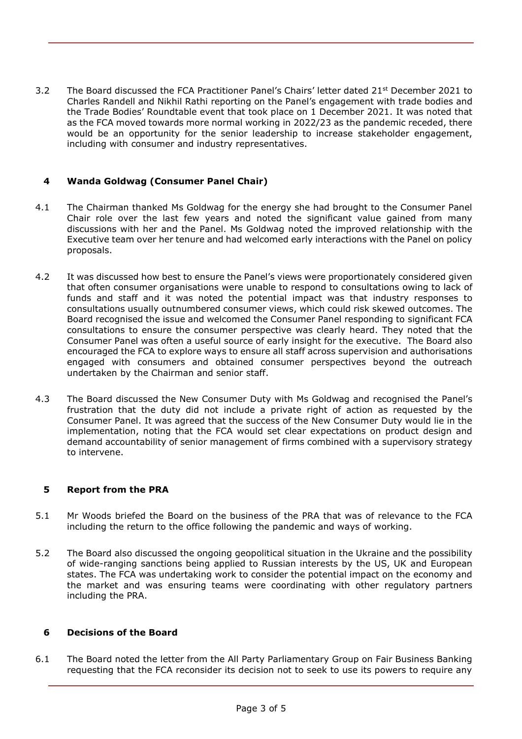3.2 The Board discussed the FCA Practitioner Panel's Chairs' letter dated 21<sup>st</sup> December 2021 to Charles Randell and Nikhil Rathi reporting on the Panel's engagement with trade bodies and the Trade Bodies' Roundtable event that took place on 1 December 2021. It was noted that as the FCA moved towards more normal working in 2022/23 as the pandemic receded, there would be an opportunity for the senior leadership to increase stakeholder engagement, including with consumer and industry representatives.

## **4 Wanda Goldwag (Consumer Panel Chair)**

- 4.1 The Chairman thanked Ms Goldwag for the energy she had brought to the Consumer Panel Chair role over the last few years and noted the significant value gained from many discussions with her and the Panel. Ms Goldwag noted the improved relationship with the Executive team over her tenure and had welcomed early interactions with the Panel on policy proposals.
- 4.2 It was discussed how best to ensure the Panel's views were proportionately considered given that often consumer organisations were unable to respond to consultations owing to lack of funds and staff and it was noted the potential impact was that industry responses to consultations usually outnumbered consumer views, which could risk skewed outcomes. The Board recognised the issue and welcomed the Consumer Panel responding to significant FCA consultations to ensure the consumer perspective was clearly heard. They noted that the Consumer Panel was often a useful source of early insight for the executive. The Board also encouraged the FCA to explore ways to ensure all staff across supervision and authorisations engaged with consumers and obtained consumer perspectives beyond the outreach undertaken by the Chairman and senior staff.
- 4.3 The Board discussed the New Consumer Duty with Ms Goldwag and recognised the Panel's frustration that the duty did not include a private right of action as requested by the Consumer Panel. It was agreed that the success of the New Consumer Duty would lie in the implementation, noting that the FCA would set clear expectations on product design and demand accountability of senior management of firms combined with a supervisory strategy to intervene.

## **5 Report from the PRA**

- 5.1 Mr Woods briefed the Board on the business of the PRA that was of relevance to the FCA including the return to the office following the pandemic and ways of working.
- 5.2 The Board also discussed the ongoing geopolitical situation in the Ukraine and the possibility of wide-ranging sanctions being applied to Russian interests by the US, UK and European states. The FCA was undertaking work to consider the potential impact on the economy and the market and was ensuring teams were coordinating with other regulatory partners including the PRA.

#### **6 Decisions of the Board**

6.1 The Board noted the letter from the All Party Parliamentary Group on Fair Business Banking requesting that the FCA reconsider its decision not to seek to use its powers to require any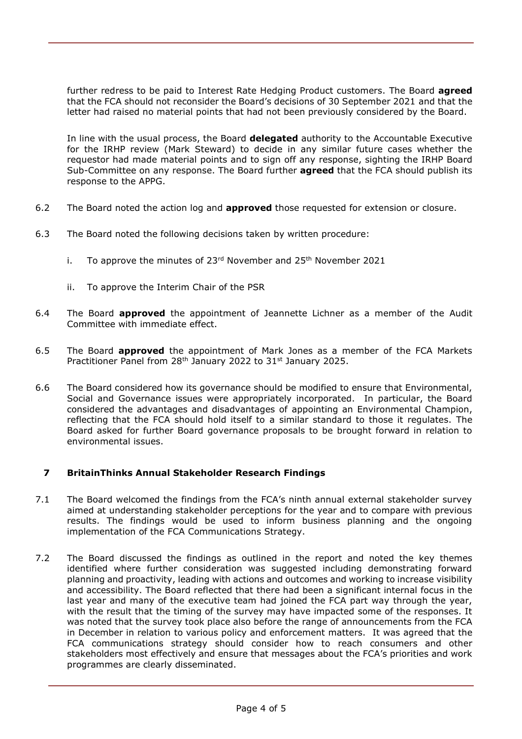further redress to be paid to Interest Rate Hedging Product customers. The Board **agreed**  that the FCA should not reconsider the Board's decisions of 30 September 2021 and that the letter had raised no material points that had not been previously considered by the Board.

In line with the usual process, the Board **delegated** authority to the Accountable Executive for the IRHP review (Mark Steward) to decide in any similar future cases whether the requestor had made material points and to sign off any response, sighting the IRHP Board Sub-Committee on any response. The Board further **agreed** that the FCA should publish its response to the APPG.

- 6.2 The Board noted the action log and **approved** those requested for extension or closure.
- 6.3 The Board noted the following decisions taken by written procedure:
	- i. To approve the minutes of  $23<sup>rd</sup>$  November and  $25<sup>th</sup>$  November 2021
	- ii. To approve the Interim Chair of the PSR
- 6.4 The Board **approved** the appointment of Jeannette Lichner as a member of the Audit Committee with immediate effect.
- 6.5 The Board **approved** the appointment of Mark Jones as a member of the FCA Markets Practitioner Panel from 28<sup>th</sup> January 2022 to 31<sup>st</sup> January 2025.
- 6.6 The Board considered how its governance should be modified to ensure that Environmental, Social and Governance issues were appropriately incorporated. In particular, the Board considered the advantages and disadvantages of appointing an Environmental Champion, reflecting that the FCA should hold itself to a similar standard to those it regulates. The Board asked for further Board governance proposals to be brought forward in relation to environmental issues.

## **7 BritainThinks Annual Stakeholder Research Findings**

- 7.1 The Board welcomed the findings from the FCA's ninth annual external stakeholder survey aimed at understanding stakeholder perceptions for the year and to compare with previous results. The findings would be used to inform business planning and the ongoing implementation of the FCA Communications Strategy.
- 7.2 The Board discussed the findings as outlined in the report and noted the key themes identified where further consideration was suggested including demonstrating forward planning and proactivity, leading with actions and outcomes and working to increase visibility and accessibility. The Board reflected that there had been a significant internal focus in the last year and many of the executive team had joined the FCA part way through the year, with the result that the timing of the survey may have impacted some of the responses. It was noted that the survey took place also before the range of announcements from the FCA in December in relation to various policy and enforcement matters. It was agreed that the FCA communications strategy should consider how to reach consumers and other stakeholders most effectively and ensure that messages about the FCA's priorities and work programmes are clearly disseminated.